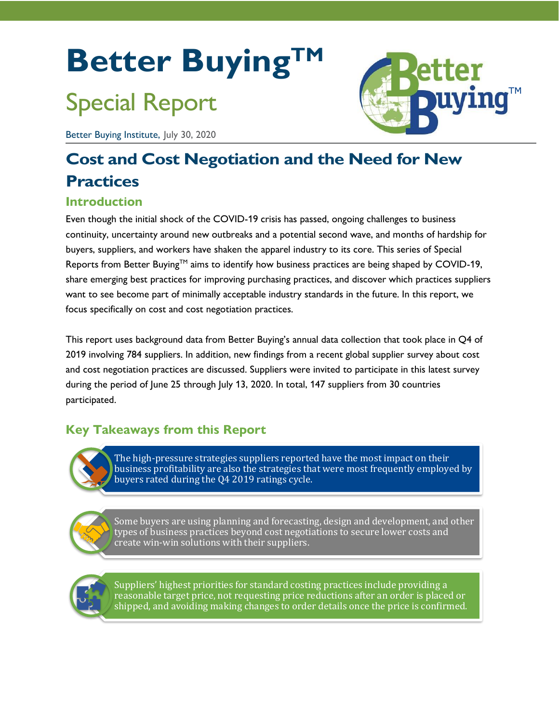# **Better BuyingTM**

## Special Report

Better Buying Institute, July 30, 2020

## **Cost and Cost Negotiation and the Need for New Practices**

## **Introduction**

Even though the initial shock of the COVID-19 crisis has passed, ongoing challenges to business continuity, uncertainty around new outbreaks and a potential second wave, and months of hardship for buyers, suppliers, and workers have shaken the apparel industry to its core. This series of Special Reports from Better Buying™ aims to identify how business practices are being shaped by COVID-19, share emerging best practices for improving purchasing practices, and discover which practices suppliers want to see become part of minimally acceptable industry standards in the future. In this report, we focus specifically on cost and cost negotiation practices.

This report uses background data from Better Buying's annual data collection that took place in Q4 of 2019 involving 784 suppliers. In addition, new findings from a recent global supplier survey about cost and cost negotiation practices are discussed. Suppliers were invited to participate in this latest survey during the period of June 25 through July 13, 2020. In total, 147 suppliers from 30 countries participated.

## **Key Takeaways from this Report**

The high-pressure strategies suppliers reported have the most impact on their business profitability are also the strategies that were most frequently employed by buyers rated during the Q4 2019 ratings cycle.

Some buyers are using planning and forecasting, design and development, and other types of business practices beyond cost negotiations to secure lower costs and create win-win solutions with their suppliers.

Suppliers' highest priorities for standard costing practices include providing a reasonable target price, not requesting price reductions after an order is placed or shipped, and avoiding making changes to order details once the price is confirmed.

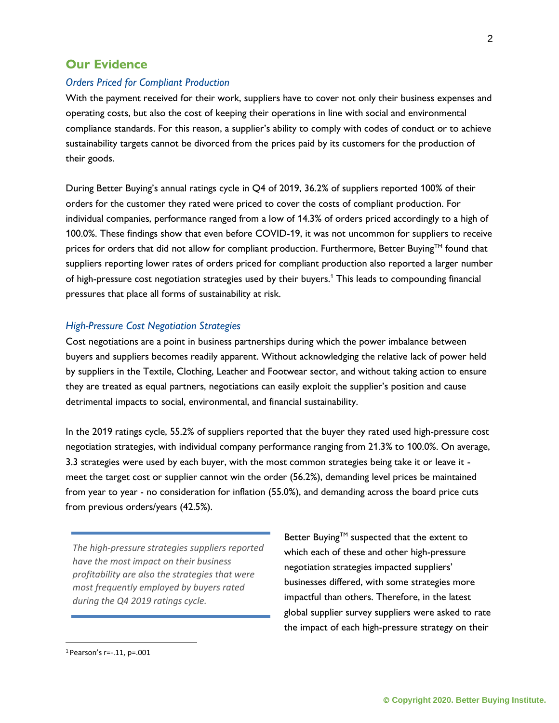## **Our Evidence**

## *Orders Priced for Compliant Production*

With the payment received for their work, suppliers have to cover not only their business expenses and operating costs, but also the cost of keeping their operations in line with social and environmental compliance standards. For this reason, a supplier's ability to comply with codes of conduct or to achieve sustainability targets cannot be divorced from the prices paid by its customers for the production of their goods.

During Better Buying's annual ratings cycle in Q4 of 2019, 36.2% of suppliers reported 100% of their orders for the customer they rated were priced to cover the costs of compliant production. For individual companies, performance ranged from a low of 14.3% of orders priced accordingly to a high of 100.0%. These findings show that even before COVID-19, it was not uncommon for suppliers to receive prices for orders that did not allow for compliant production. Furthermore, Better Buying™ found that suppliers reporting lower rates of orders priced for compliant production also reported a larger number of high-pressure cost negotiation strategies used by their buyers.<sup>1</sup> This leads to compounding financial pressures that place all forms of sustainability at risk.

## *High-Pressure Cost Negotiation Strategies*

Cost negotiations are a point in business partnerships during which the power imbalance between buyers and suppliers becomes readily apparent. Without acknowledging the relative lack of power held by suppliers in the Textile, Clothing, Leather and Footwear sector, and without taking action to ensure they are treated as equal partners, negotiations can easily exploit the supplier's position and cause detrimental impacts to social, environmental, and financial sustainability.

In the 2019 ratings cycle, 55.2% of suppliers reported that the buyer they rated used high-pressure cost negotiation strategies, with individual company performance ranging from 21.3% to 100.0%. On average, 3.3 strategies were used by each buyer, with the most common strategies being take it or leave it meet the target cost or supplier cannot win the order (56.2%), demanding level prices be maintained from year to year - no consideration for inflation (55.0%), and demanding across the board price cuts from previous orders/years (42.5%).

*The high-pressure strategies suppliers reported have the most impact on their business profitability are also the strategies that were most frequently employed by buyers rated during the Q4 2019 ratings cycle.*

Better Buying™ suspected that the extent to which each of these and other high-pressure negotiation strategies impacted suppliers' businesses differed, with some strategies more impactful than others. Therefore, in the latest global supplier survey suppliers were asked to rate the impact of each high-pressure strategy on their

<sup>1</sup> Pearson's r=-.11, p=.001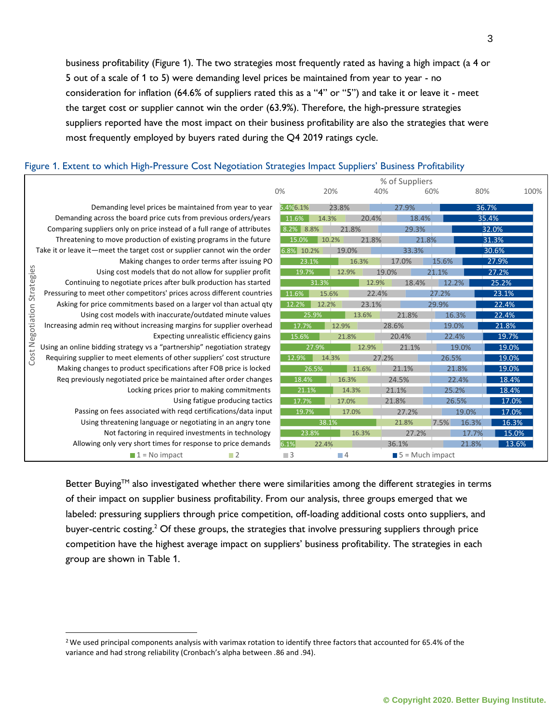business profitability (Figure 1). The two strategies most frequently rated as having a high impact (a 4 or 5 out of a scale of 1 to 5) were demanding level prices be maintained from year to year - no consideration for inflation (64.6% of suppliers rated this as a "4" or "5") and take it or leave it - meet the target cost or supplier cannot win the order (63.9%). Therefore, the high-pressure strategies suppliers reported have the most impact on their business profitability are also the strategies that were most frequently employed by buyers rated during the Q4 2019 ratings cycle.

### Figure 1. Extent to which High-Pressure Cost Negotiation Strategies Impact Suppliers' Business Profitability

|                                                                           |                                                                          | % of Suppliers |                |          |                                |       |                |       |
|---------------------------------------------------------------------------|--------------------------------------------------------------------------|----------------|----------------|----------|--------------------------------|-------|----------------|-------|
|                                                                           |                                                                          | 0%             | 20%            | 40%      |                                | 60%   | 80%            | 100%  |
|                                                                           | Demanding level prices be maintained from year to year                   | 5.4%6.1%       | 23.8%          |          | 27.9%                          |       | 36.7%          |       |
|                                                                           | Demanding across the board price cuts from previous orders/years         | 11.6%          | 14.3%          | 20.4%    | 18.4%                          |       | 35.4%          |       |
|                                                                           | Comparing suppliers only on price instead of a full range of attributes  | $8.2\%$        | 21.8%<br>8.8%  |          | 29.3%                          |       | 32.0%          |       |
|                                                                           | Threatening to move production of existing programs in the future        | 15.0%          | 10.2%<br>21.8% |          | 21.8%                          |       | 31.3%          |       |
| Take it or leave it—meet the target cost or supplier cannot win the order |                                                                          | 6.8% 10.2%     |                | 19.0%    | 33.3%                          |       | 30.6%          |       |
|                                                                           | Making changes to order terms after issuing PO                           |                | 23.1%<br>16.3% |          | 17.0%                          | 15.6% | 27.9%          |       |
| Strategies                                                                | Using cost models that do not allow for supplier profit                  | 19.7%          |                | 12.9%    | 19.0%                          | 21.1% | 27.2%          |       |
|                                                                           | Continuing to negotiate prices after bulk production has started         |                | 31.3%          | 12.9%    | 18.4%                          | 12.2% | 25.2%          |       |
|                                                                           | Pressuring to meet other competitors' prices across different countries  | 11.6%          | 15.6%          | 22.4%    |                                | 27.2% | 23.1%          |       |
|                                                                           | Asking for price commitments based on a larger vol than actual qty       | 12.2%          | 12.2%          | 23.1%    |                                | 29.9% | 22.4%          |       |
| Cost Negotiation                                                          | Using cost models with inaccurate/outdated minute values                 | 25.9%          |                | 13.6%    | 21.8%                          | 16.3% | 22.4%          |       |
|                                                                           | Increasing admin req without increasing margins for supplier overhead    | 17.7%          |                | 12.9%    | 28.6%<br>19.0%                 |       | 21.8%          |       |
|                                                                           | Expecting unrealistic efficiency gains                                   | 15.6%          |                | 21.8%    | 20.4%                          | 22.4% | 19.7%          |       |
|                                                                           | Using an online bidding strategy vs a "partnership" negotiation strategy |                | 27.9%<br>12.9% |          | 21.1%                          |       | 19.0%<br>19.0% |       |
|                                                                           | Requiring supplier to meet elements of other suppliers' cost structure   |                | 12.9%<br>14.3% |          | 27.2%                          | 26.5% | 19.0%          |       |
|                                                                           | Making changes to product specifications after FOB price is locked       |                | 26.5%          | 11.6%    | 21.1%                          | 21.8% | 19.0%          |       |
|                                                                           | Req previously negotiated price be maintained after order changes        | 18.4%          |                | 16.3%    | 24.5%                          | 22.4% | 18.4%          |       |
|                                                                           | Locking prices prior to making commitments                               |                | 21.1%          | 14.3%    | 21.1%                          | 25.2% | 18.4%          |       |
|                                                                           | Using fatigue producing tactics                                          | 17.7%          |                | 17.0%    | 21.8%                          | 26.5% |                | 17.0% |
|                                                                           | Passing on fees associated with reqd certifications/data input           | 19.7%          |                | 17.0%    | 27.2%                          |       | 19.0%          | 17.0% |
|                                                                           | Using threatening language or negotiating in an angry tone               |                | 38.1%          |          | 21.8%                          | 7.5%  | 16.3%          | 16.3% |
|                                                                           | Not factoring in required investments in technology                      | 23.8%<br>6.1%  |                | 16.3%    | 27.2%                          |       | 17.7%          | 15.0% |
|                                                                           | Allowing only very short times for response to price demands             |                | 22.4%          |          | 36.1%                          |       | 21.8%          | 13.6% |
|                                                                           | $\blacksquare$ 1 = No impact<br>$\blacksquare$ 2                         | $\Box$ 3       |                | $\Box$ 4 | $\blacksquare$ 5 = Much impact |       |                |       |

Better Buying™ also investigated whether there were similarities among the different strategies in terms of their impact on supplier business profitability. From our analysis, three groups emerged that we labeled: pressuring suppliers through price competition, off-loading additional costs onto suppliers, and buyer-centric costing.<sup>2</sup> Of these groups, the strategies that involve pressuring suppliers through price competition have the highest average impact on suppliers' business profitability. The strategies in each group are shown in Table 1.

<sup>2</sup>We used principal components analysis with varimax rotation to identify three factors that accounted for 65.4% of the variance and had strong reliability (Cronbach's alpha between .86 and .94).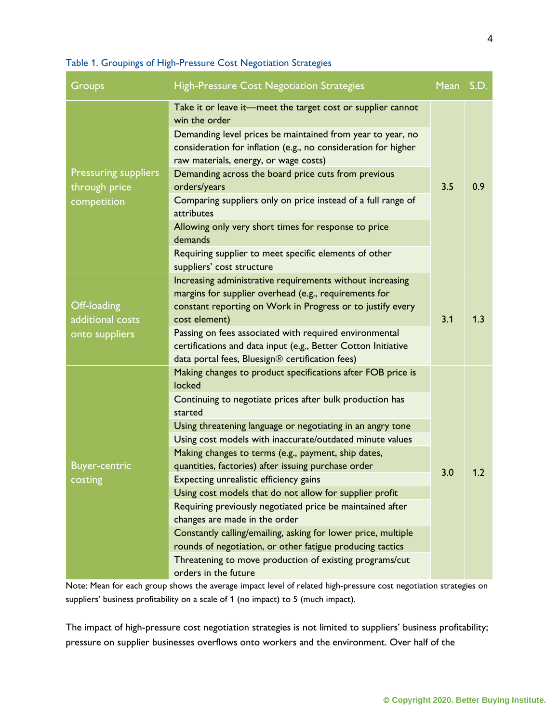## Table 1. Groupings of High-Pressure Cost Negotiation Strategies

| Groups                                       | <b>High-Pressure Cost Negotiation Strategies</b>                                                                                                                                                                                                            | Mean S.D. |     |
|----------------------------------------------|-------------------------------------------------------------------------------------------------------------------------------------------------------------------------------------------------------------------------------------------------------------|-----------|-----|
|                                              | Take it or leave it-meet the target cost or supplier cannot<br>win the order<br>Demanding level prices be maintained from year to year, no<br>consideration for inflation (e.g., no consideration for higher<br>raw materials, energy, or wage costs)       |           | 0.9 |
| <b>Pressuring suppliers</b><br>through price | Demanding across the board price cuts from previous<br>orders/years                                                                                                                                                                                         | 3.5       |     |
| competition                                  | Comparing suppliers only on price instead of a full range of<br>attributes                                                                                                                                                                                  |           |     |
|                                              | Allowing only very short times for response to price<br>demands                                                                                                                                                                                             |           |     |
|                                              | Requiring supplier to meet specific elements of other<br>suppliers' cost structure                                                                                                                                                                          |           |     |
| Off-loading<br>additional costs              | Increasing administrative requirements without increasing<br>margins for supplier overhead (e.g., requirements for<br>constant reporting on Work in Progress or to justify every<br>cost element)<br>Passing on fees associated with required environmental | 3.1       | 1.3 |
| onto suppliers                               | certifications and data input (e.g., Better Cotton Initiative<br>data portal fees, Bluesign® certification fees)                                                                                                                                            |           |     |
|                                              | Making changes to product specifications after FOB price is<br>locked                                                                                                                                                                                       |           |     |
|                                              | Continuing to negotiate prices after bulk production has<br>started                                                                                                                                                                                         | 3.0       | 1.2 |
|                                              | Using threatening language or negotiating in an angry tone                                                                                                                                                                                                  |           |     |
|                                              | Using cost models with inaccurate/outdated minute values                                                                                                                                                                                                    |           |     |
|                                              | Making changes to terms (e.g., payment, ship dates,                                                                                                                                                                                                         |           |     |
| <b>Buyer-centric</b>                         | quantities, factories) after issuing purchase order                                                                                                                                                                                                         |           |     |
| costing                                      | Expecting unrealistic efficiency gains                                                                                                                                                                                                                      |           |     |
|                                              | Using cost models that do not allow for supplier profit                                                                                                                                                                                                     |           |     |
|                                              | Requiring previously negotiated price be maintained after                                                                                                                                                                                                   |           |     |
|                                              | changes are made in the order                                                                                                                                                                                                                               |           |     |
|                                              | Constantly calling/emailing, asking for lower price, multiple<br>rounds of negotiation, or other fatigue producing tactics                                                                                                                                  |           |     |
|                                              | Threatening to move production of existing programs/cut                                                                                                                                                                                                     |           |     |
|                                              | orders in the future                                                                                                                                                                                                                                        |           |     |

Note: Mean for each group shows the average impact level of related high-pressure cost negotiation strategies on suppliers' business profitability on a scale of 1 (no impact) to 5 (much impact).

The impact of high-pressure cost negotiation strategies is not limited to suppliers' business profitability; pressure on supplier businesses overflows onto workers and the environment. Over half of the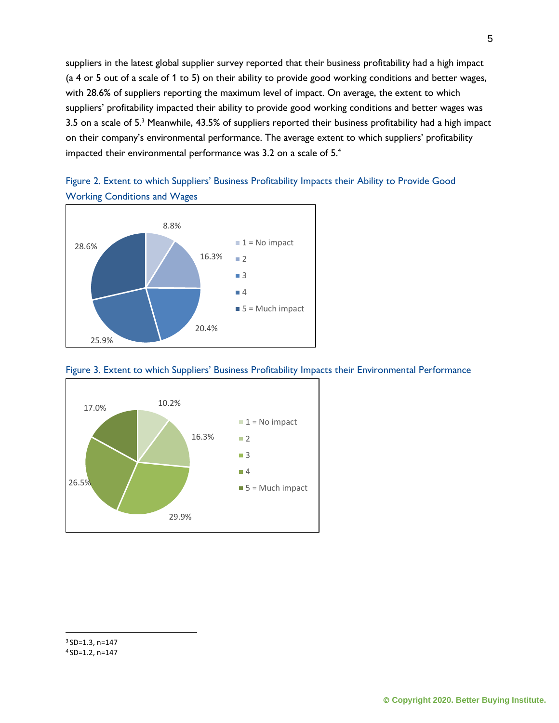suppliers in the latest global supplier survey reported that their business profitability had a high impact (a 4 or 5 out of a scale of 1 to 5) on their ability to provide good working conditions and better wages, with 28.6% of suppliers reporting the maximum level of impact. On average, the extent to which suppliers' profitability impacted their ability to provide good working conditions and better wages was 3.5 on a scale of 5.<sup>3</sup> Meanwhile, 43.5% of suppliers reported their business profitability had a high impact on their company's environmental performance. The average extent to which suppliers' profitability impacted their environmental performance was 3.2 on a scale of 5.<sup>4</sup>



Figure 2. Extent to which Suppliers' Business Profitability Impacts their Ability to Provide Good Working Conditions and Wages





<sup>4</sup> SD=1.2, n=147

<sup>3</sup> SD=1.3, n=147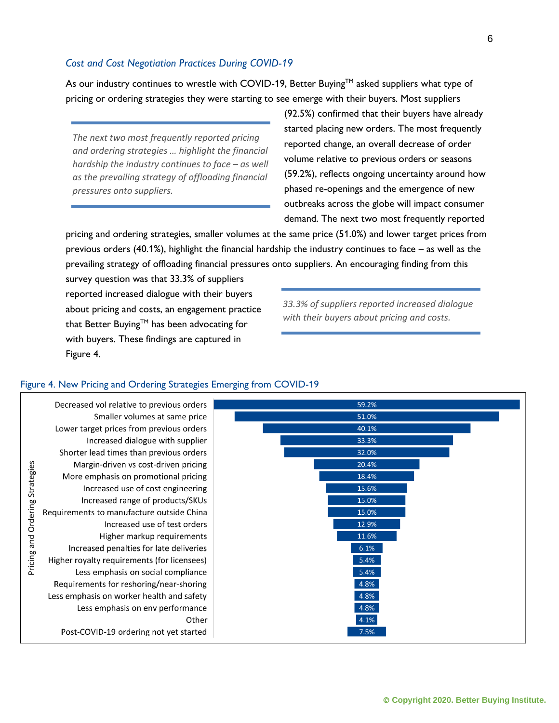### *Cost and Cost Negotiation Practices During COVID-19*

As our industry continues to wrestle with COVID-19, Better Buying™ asked suppliers what type of pricing or ordering strategies they were starting to see emerge with their buyers. Most suppliers

*The next two most frequently reported pricing and ordering strategies … highlight the financial hardship the industry continues to face – as well as the prevailing strategy of offloading financial pressures onto suppliers.* 

(92.5%) confirmed that their buyers have already started placing new orders. The most frequently reported change, an overall decrease of order volume relative to previous orders or seasons (59.2%), reflects ongoing uncertainty around how phased re-openings and the emergence of new outbreaks across the globe will impact consumer demand. The next two most frequently reported

pricing and ordering strategies, smaller volumes at the same price (51.0%) and lower target prices from previous orders (40.1%), highlight the financial hardship the industry continues to face – as well as the prevailing strategy of offloading financial pressures onto suppliers. An encouraging finding from this

survey question was that 33.3% of suppliers reported increased dialogue with their buyers about pricing and costs, an engagement practice that Better Buying™ has been advocating for with buyers. These findings are captured in Figure 4.

*33.3% of suppliers reported increased dialogue with their buyers about pricing and costs.*

#### Decreased vol relative to previous orders 59.2% Smaller volumes at same price 51.0% 40.1% Lower target prices from previous orders Increased dialogue with supplier 33.3% 32.0% Shorter lead times than previous orders Pricing and Ordering Strategies 20.4% Margin-driven vs cost-driven pricing 18.4% More emphasis on promotional pricing 15.6% Increased use of cost engineering 15.0% Increased range of products/SKUs 15.0% Requirements to manufacture outside China 12.9% Increased use of test orders 11.6% Higher markup requirements Increased penalties for late deliveries 6.1%  $5.4%$ Higher royalty requirements (for licensees) Less emphasis on social compliance 5.4% 4.8% Requirements for reshoring/near-shoring 4.8% Less emphasis on worker health and safety 4.8% Less emphasis on env performance 4.1% Other Post-COVID-19 ordering not yet started  $7.5%$

## Figure 4. New Pricing and Ordering Strategies Emerging from COVID-19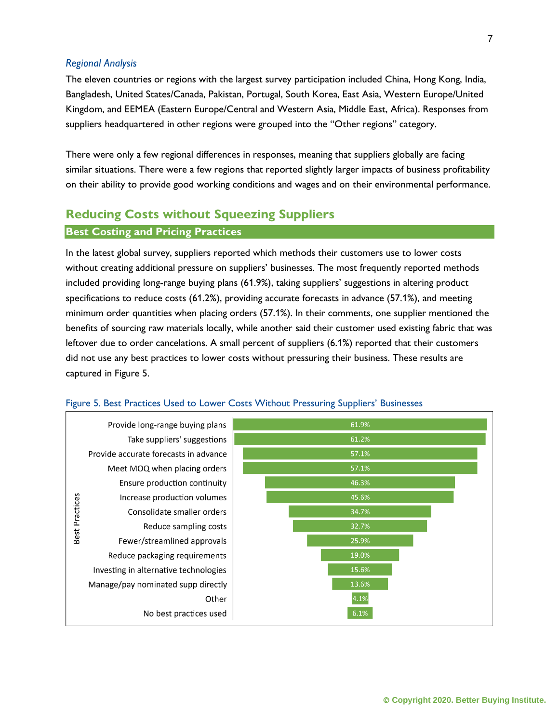## *Regional Analysis*

The eleven countries or regions with the largest survey participation included China, Hong Kong, India, Bangladesh, United States/Canada, Pakistan, Portugal, South Korea, East Asia, Western Europe/United Kingdom, and EEMEA (Eastern Europe/Central and Western Asia, Middle East, Africa). Responses from suppliers headquartered in other regions were grouped into the "Other regions" category.

There were only a few regional differences in responses, meaning that suppliers globally are facing similar situations. There were a few regions that reported slightly larger impacts of business profitability on their ability to provide good working conditions and wages and on their environmental performance.

## **Reducing Costs without Squeezing Suppliers**

## **Best Costing and Pricing Practices**

In the latest global survey, suppliers reported which methods their customers use to lower costs without creating additional pressure on suppliers' businesses. The most frequently reported methods included providing long-range buying plans (61.9%), taking suppliers' suggestions in altering product specifications to reduce costs (61.2%), providing accurate forecasts in advance (57.1%), and meeting minimum order quantities when placing orders (57.1%). In their comments, one supplier mentioned the benefits of sourcing raw materials locally, while another said their customer used existing fabric that was leftover due to order cancelations. A small percent of suppliers (6.1%) reported that their customers did not use any best practices to lower costs without pressuring their business. These results are captured in Figure 5.



## Figure 5. Best Practices Used to Lower Costs Without Pressuring Suppliers' Businesses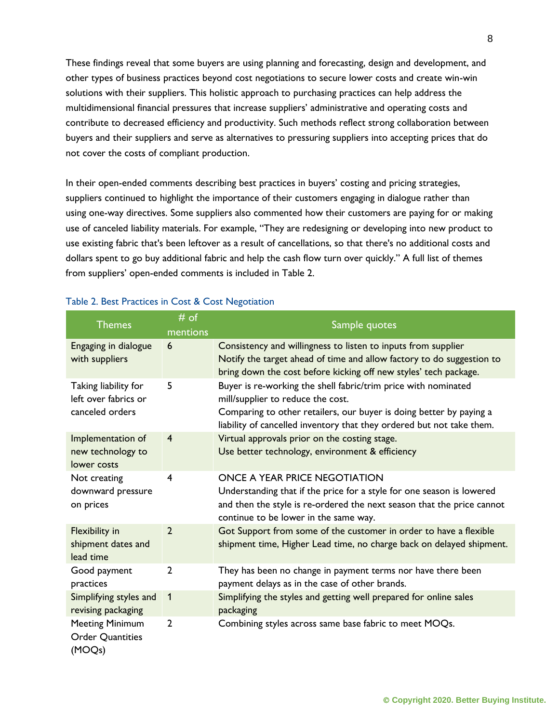These findings reveal that some buyers are using planning and forecasting, design and development, and other types of business practices beyond cost negotiations to secure lower costs and create win-win solutions with their suppliers. This holistic approach to purchasing practices can help address the multidimensional financial pressures that increase suppliers' administrative and operating costs and contribute to decreased efficiency and productivity. Such methods reflect strong collaboration between buyers and their suppliers and serve as alternatives to pressuring suppliers into accepting prices that do not cover the costs of compliant production.

In their open-ended comments describing best practices in buyers' costing and pricing strategies, suppliers continued to highlight the importance of their customers engaging in dialogue rather than using one-way directives. Some suppliers also commented how their customers are paying for or making use of canceled liability materials. For example, "They are redesigning or developing into new product to use existing fabric that's been leftover as a result of cancellations, so that there's no additional costs and dollars spent to go buy additional fabric and help the cash flow turn over quickly." A full list of themes from suppliers' open-ended comments is included in Table 2.

| <b>Themes</b>                                                   | # of<br>mentions | Sample quotes                                                                                                                                                                                                                                       |
|-----------------------------------------------------------------|------------------|-----------------------------------------------------------------------------------------------------------------------------------------------------------------------------------------------------------------------------------------------------|
| Engaging in dialogue<br>with suppliers                          | 6                | Consistency and willingness to listen to inputs from supplier<br>Notify the target ahead of time and allow factory to do suggestion to<br>bring down the cost before kicking off new styles' tech package.                                          |
| Taking liability for<br>left over fabrics or<br>canceled orders | 5                | Buyer is re-working the shell fabric/trim price with nominated<br>mill/supplier to reduce the cost.<br>Comparing to other retailers, our buyer is doing better by paying a<br>liability of cancelled inventory that they ordered but not take them. |
| Implementation of<br>new technology to<br>lower costs           | $\overline{4}$   | Virtual approvals prior on the costing stage.<br>Use better technology, environment & efficiency                                                                                                                                                    |
| Not creating<br>downward pressure<br>on prices                  | $\overline{4}$   | ONCE A YEAR PRICE NEGOTIATION<br>Understanding that if the price for a style for one season is lowered<br>and then the style is re-ordered the next season that the price cannot<br>continue to be lower in the same way.                           |
| Flexibility in<br>shipment dates and<br>lead time               | $\overline{2}$   | Got Support from some of the customer in order to have a flexible<br>shipment time, Higher Lead time, no charge back on delayed shipment.                                                                                                           |
| Good payment<br>practices                                       | $\overline{2}$   | They has been no change in payment terms nor have there been<br>payment delays as in the case of other brands.                                                                                                                                      |
| Simplifying styles and<br>revising packaging                    | $\mathbf{1}$     | Simplifying the styles and getting well prepared for online sales<br>packaging                                                                                                                                                                      |
| <b>Meeting Minimum</b><br><b>Order Quantities</b><br>(MOQs)     | $\overline{2}$   | Combining styles across same base fabric to meet MOQs.                                                                                                                                                                                              |

## Table 2. Best Practices in Cost & Cost Negotiation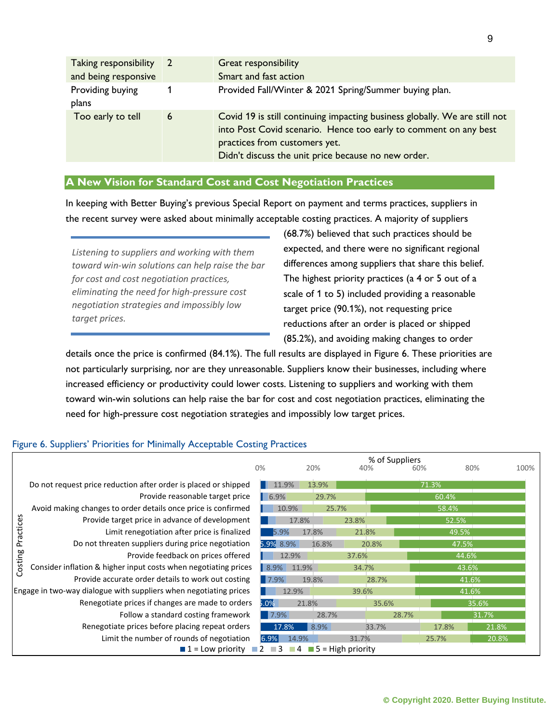| Taking responsibility<br>and being responsive | $\overline{2}$ | Great responsibility<br>Smart and fast action                                                                                                                                                                                          |
|-----------------------------------------------|----------------|----------------------------------------------------------------------------------------------------------------------------------------------------------------------------------------------------------------------------------------|
| Providing buying<br>plans                     |                | Provided Fall/Winter & 2021 Spring/Summer buying plan.                                                                                                                                                                                 |
| Too early to tell                             | 6              | Covid 19 is still continuing impacting business globally. We are still not<br>into Post Covid scenario. Hence too early to comment on any best<br>practices from customers yet.<br>Didn't discuss the unit price because no new order. |

## **A New Vision for Standard Cost and Cost Negotiation Practices**

In keeping with Better Buying's previous Special Report on payment and terms practices, suppliers in the recent survey were asked about minimally acceptable costing practices. A majority of suppliers

*Listening to suppliers and working with them toward win-win solutions can help raise the bar for cost and cost negotiation practices, eliminating the need for high-pressure cost negotiation strategies and impossibly low target prices.*

(68.7%) believed that such practices should be expected, and there were no significant regional differences among suppliers that share this belief. The highest priority practices (a 4 or 5 out of a scale of 1 to 5) included providing a reasonable target price (90.1%), not requesting price reductions after an order is placed or shipped (85.2%), and avoiding making changes to order

details once the price is confirmed (84.1%). The full results are displayed in Figure 6. These priorities are not particularly surprising, nor are they unreasonable. Suppliers know their businesses, including where increased efficiency or productivity could lower costs. Listening to suppliers and working with them toward win-win solutions can help raise the bar for cost and cost negotiation practices, eliminating the need for high-pressure cost negotiation strategies and impossibly low target prices.

## Figure 6. Suppliers' Priorities for Minimally Acceptable Costing Practices

|                                                                   |                                                                                                              | 0%        | % of Suppliers<br>20%<br>60%<br>40% |       |       |       |       | 80%   | 100% |
|-------------------------------------------------------------------|--------------------------------------------------------------------------------------------------------------|-----------|-------------------------------------|-------|-------|-------|-------|-------|------|
|                                                                   | Do not request price reduction after order is placed or shipped                                              | 11.9%     |                                     | 13.9% |       |       | 71.3% |       |      |
|                                                                   | Provide reasonable target price                                                                              | 6.9%      |                                     | 29.7% |       |       |       | 60.4% |      |
|                                                                   | Avoid making changes to order details once price is confirmed                                                |           | 10.9%                               | 25.7% |       |       | 58.4% |       |      |
|                                                                   | Provide target price in advance of development                                                               |           | 17.8%                               |       | 23.8% |       |       | 52.5% |      |
| Practices                                                         | Limit renegotiation after price is finalized                                                                 | 5.9%      | 17.8%                               |       | 21.8% |       |       | 49.5% |      |
|                                                                   | Do not threaten suppliers during price negotiation                                                           | 5.9% 8.9% |                                     | 16.8% | 20.8% |       |       | 47.5% |      |
|                                                                   | Provide feedback on prices offered                                                                           |           | 12.9%                               |       | 37.6% |       |       | 44.6% |      |
| Costing                                                           | Consider inflation & higher input costs when negotiating prices                                              | 8.9%      | 11.9%                               |       | 34.7% |       |       | 43.6% |      |
|                                                                   | Provide accurate order details to work out costing                                                           | 7.9%      | 19.8%                               |       |       | 28.7% |       | 41.6% |      |
| Engage in two-way dialogue with suppliers when negotiating prices |                                                                                                              |           | 12.9%                               |       | 39.6% |       |       | 41.6% |      |
|                                                                   | Renegotiate prices if changes are made to orders                                                             | $5.0\%$   | 21.8%                               |       |       | 35.6% |       | 35.6% |      |
|                                                                   | Follow a standard costing framework                                                                          |           | 17.9%                               | 28.7% |       | 28.7% |       | 31.7% |      |
|                                                                   | Renegotiate prices before placing repeat orders                                                              | 17.8%     |                                     | 8.9%  |       | 33.7% | 17.8% | 21.8% |      |
|                                                                   | Limit the number of rounds of negotiation                                                                    | 6.9%      | 14.9%                               |       | 31.7% |       | 25.7% | 20.8% |      |
|                                                                   | $\blacksquare$ 5 = High priority<br>$\blacksquare$ 1 = Low priority $\blacksquare$ 2<br>$\Box$ 3<br>$\Box$ 4 |           |                                     |       |       |       |       |       |      |